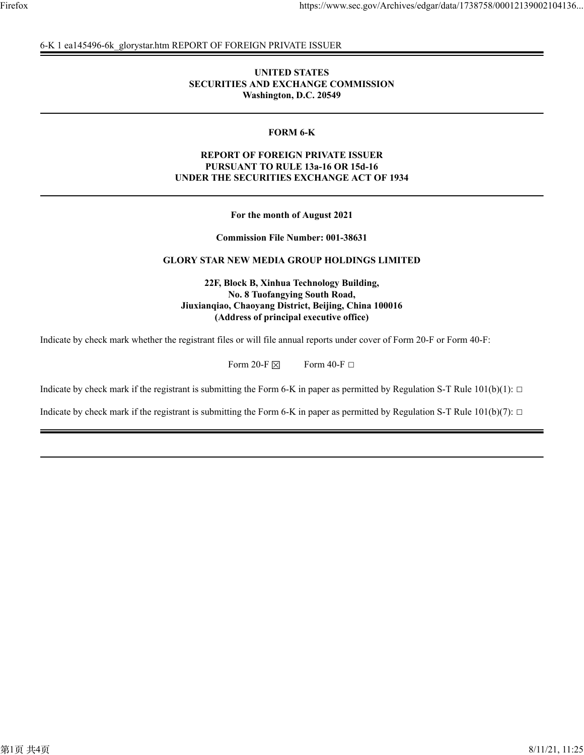### 6-K 1 ea145496-6k\_glorystar.htm REPORT OF FOREIGN PRIVATE ISSUER

#### **UNITED STATES SECURITIES AND EXCHANGE COMMISSION Washington, D.C. 20549**

#### **FORM 6-K**

#### **REPORT OF FOREIGN PRIVATE ISSUER PURSUANT TO RULE 13a-16 OR 15d-16 UNDER THE SECURITIES EXCHANGE ACT OF 1934**

**For the month of August 2021**

**Commission File Number: 001-38631**

#### **GLORY STAR NEW MEDIA GROUP HOLDINGS LIMITED**

**22F, Block B, Xinhua Technology Building, No. 8 Tuofangying South Road, Jiuxianqiao, Chaoyang District, Beijing, China 100016 (Address of principal executive office)**

Indicate by check mark whether the registrant files or will file annual reports under cover of Form 20-F or Form 40-F:

Form 20-F  $\boxtimes$  Form 40-F  $\Box$ 

Indicate by check mark if the registrant is submitting the Form 6-K in paper as permitted by Regulation S-T Rule  $101(b)(1)$ :  $\Box$ 

Indicate by check mark if the registrant is submitting the Form 6-K in paper as permitted by Regulation S-T Rule  $101(b)(7)$ :  $\Box$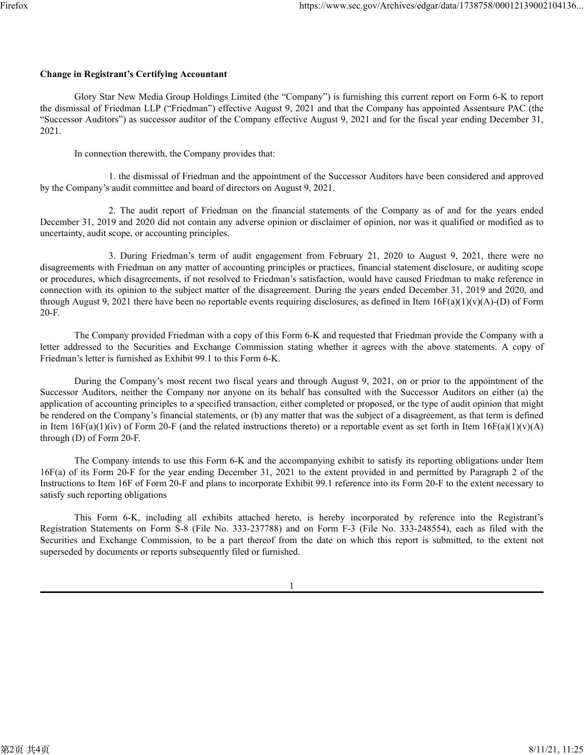#### **Change in Registrant's Certifying Accountant**

Glory Star New Media Group Holdings Limited (the "Company") is furnishing this current report on Form 6-K to report the dismissal of Friedman LLP ("Friedman") effective August 9, 2021 and that the Company has appointed Assentsure PAC (the "Successor Auditors") as successor auditor of the Company effective August 9, 2021 and for the fiscal year ending December 31, 2021.

In connection therewith, the Company provides that:

1. the dismissal of Friedman and the appointment of the Successor Auditors have been considered and approved by the Company's audit committee and board of directors on August 9, 2021.

2. The audit report of Friedman on the financial statements of the Company as of and for the years ended December 31, 2019 and 2020 did not contain any adverse opinion or disclaimer of opinion, nor was it qualified or modified as to uncertainty, audit scope, or accounting principles.

3. During Friedman's term of audit engagement from February 21, 2020 to August 9, 2021, there were no disagreements with Friedman on any matter of accounting principles or practices, financial statement disclosure, or auditing scope or procedures, which disagreements, if not resolved to Friedman's satisfaction, would have caused Friedman to make reference in connection with its opinion to the subject matter of the disagreement. During the years ended December 31, 2019 and 2020, and through August 9, 2021 there have been no reportable events requiring disclosures, as defined in Item  $16F(a)(1)(v)(A)-D$  of Form 20-F.

The Company provided Friedman with a copy of this Form 6-K and requested that Friedman provide the Company with a letter addressed to the Securities and Exchange Commission stating whether it agrees with the above statements. A copy of Friedman's letter is furnished as Exhibit 99.1 to this Form 6-K.

During the Company's most recent two fiscal years and through August 9, 2021, on or prior to the appointment of the Successor Auditors, neither the Company nor anyone on its behalf has consulted with the Successor Auditors on either (a) the application of accounting principles to a specified transaction, either completed or proposed, or the type of audit opinion that might be rendered on the Company's financial statements, or (b) any matter that was the subject of a disagreement, as that term is defined in Item  $16F(a)(1)(iv)$  of Form 20-F (and the related instructions thereto) or a reportable event as set forth in Item  $16F(a)(1)(v)(A)$ through (D) of Form 20-F.

The Company intends to use this Form 6-K and the accompanying exhibit to satisfy its reporting obligations under Item 16F(a) of its Form 20-F for the year ending December 31, 2021 to the extent provided in and permitted by Paragraph 2 of the Instructions to Item 16F of Form 20-F and plans to incorporate Exhibit 99.1 reference into its Form 20-F to the extent necessary to satisfy such reporting obligations

This Form 6-K, including all exhibits attached hereto, is hereby incorporated by reference into the Registrant's Registration Statements on Form S-8 (File No. 333-237788) and on Form F-3 (File No. 333-248554), each as filed with the Securities and Exchange Commission, to be a part thereof from the date on which this report is submitted, to the extent not superseded by documents or reports subsequently filed or furnished.

1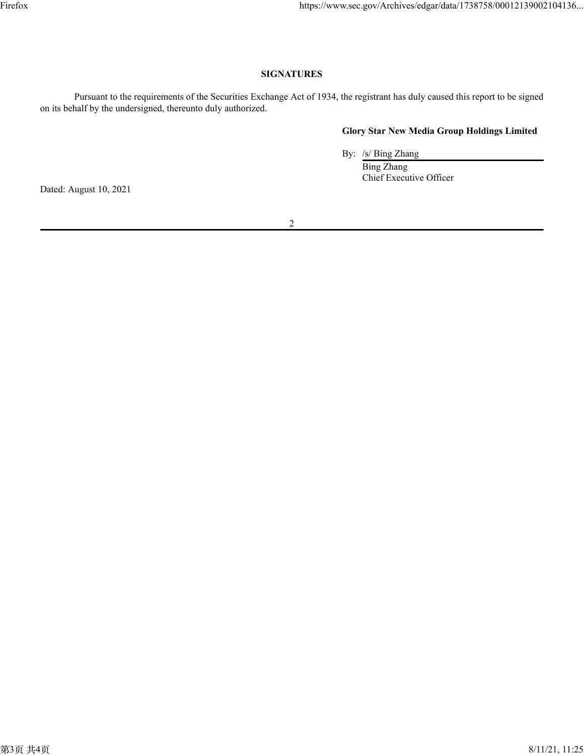## **SIGNATURES**

Pursuant to the requirements of the Securities Exchange Act of 1934, the registrant has duly caused this report to be signed on its behalf by the undersigned, thereunto duly authorized.

### **Glory Star New Media Group Holdings Limited**

By: /s/ Bing Zhang

Bing Zhang Chief Executive Officer

Dated: August 10, 2021

2